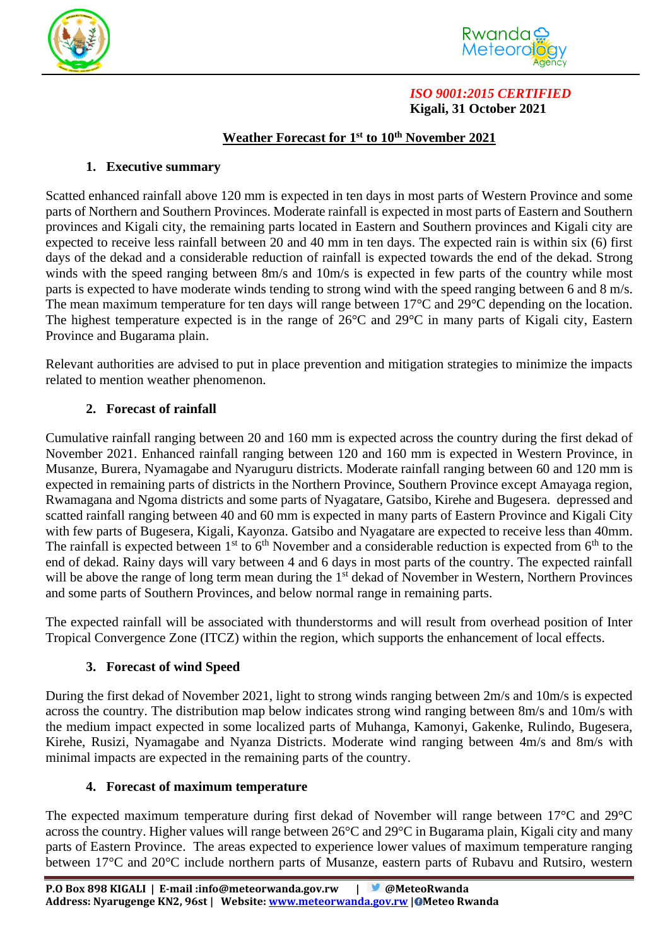



### *ISO 9001:2015 CERTIFIED*  **Kigali, 31 October 2021**

### **Weather Forecast for 1 st to 10th November 2021**

### **1. Executive summary**

Scatted enhanced rainfall above 120 mm is expected in ten days in most parts of Western Province and some parts of Northern and Southern Provinces. Moderate rainfall is expected in most parts of Eastern and Southern provinces and Kigali city, the remaining parts located in Eastern and Southern provinces and Kigali city are expected to receive less rainfall between 20 and 40 mm in ten days. The expected rain is within six (6) first days of the dekad and a considerable reduction of rainfall is expected towards the end of the dekad. Strong winds with the speed ranging between 8m/s and 10m/s is expected in few parts of the country while most parts is expected to have moderate winds tending to strong wind with the speed ranging between 6 and 8 m/s. The mean maximum temperature for ten days will range between 17<sup>o</sup>C and 29<sup>o</sup>C depending on the location. The highest temperature expected is in the range of 26°C and 29°C in many parts of Kigali city, Eastern Province and Bugarama plain.

Relevant authorities are advised to put in place prevention and mitigation strategies to minimize the impacts related to mention weather phenomenon.

# **2. Forecast of rainfall**

Cumulative rainfall ranging between 20 and 160 mm is expected across the country during the first dekad of November 2021. Enhanced rainfall ranging between 120 and 160 mm is expected in Western Province, in Musanze, Burera, Nyamagabe and Nyaruguru districts. Moderate rainfall ranging between 60 and 120 mm is expected in remaining parts of districts in the Northern Province, Southern Province except Amayaga region, Rwamagana and Ngoma districts and some parts of Nyagatare, Gatsibo, Kirehe and Bugesera. depressed and scatted rainfall ranging between 40 and 60 mm is expected in many parts of Eastern Province and Kigali City with few parts of Bugesera, Kigali, Kayonza. Gatsibo and Nyagatare are expected to receive less than 40mm. The rainfall is expected between  $1<sup>st</sup>$  to  $6<sup>th</sup>$  November and a considerable reduction is expected from  $6<sup>th</sup>$  to the end of dekad. Rainy days will vary between 4 and 6 days in most parts of the country. The expected rainfall will be above the range of long term mean during the 1<sup>st</sup> dekad of November in Western, Northern Provinces and some parts of Southern Provinces, and below normal range in remaining parts.

The expected rainfall will be associated with thunderstorms and will result from overhead position of Inter Tropical Convergence Zone (ITCZ) within the region, which supports the enhancement of local effects.

# **3. Forecast of wind Speed**

During the first dekad of November 2021, light to strong winds ranging between 2m/s and 10m/s is expected across the country. The distribution map below indicates strong wind ranging between 8m/s and 10m/s with the medium impact expected in some localized parts of Muhanga, Kamonyi, Gakenke, Rulindo, Bugesera, Kirehe, Rusizi, Nyamagabe and Nyanza Districts. Moderate wind ranging between 4m/s and 8m/s with minimal impacts are expected in the remaining parts of the country.

# **4. Forecast of maximum temperature**

The expected maximum temperature during first dekad of November will range between 17°C and 29°C across the country. Higher values will range between 26°C and 29°C in Bugarama plain, Kigali city and many parts of Eastern Province. The areas expected to experience lower values of maximum temperature ranging between 17°C and 20°C include northern parts of Musanze, eastern parts of Rubavu and Rutsiro, western